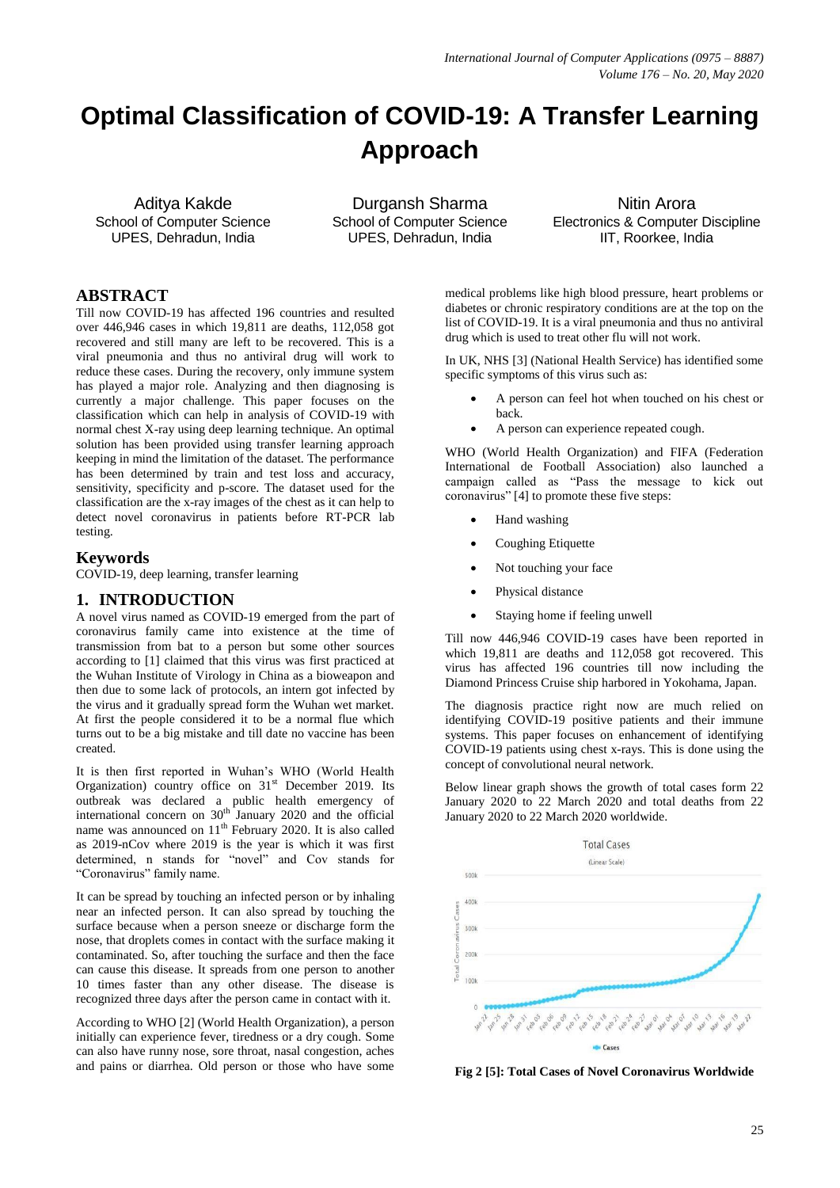# **Optimal Classification of COVID-19: A Transfer Learning Approach**

Aditya Kakde School of Computer Science UPES, Dehradun, India

Durgansh Sharma School of Computer Science UPES, Dehradun, India

Nitin Arora Electronics & Computer Discipline IIT, Roorkee, India

# **ABSTRACT**

Till now COVID-19 has affected 196 countries and resulted over 446,946 cases in which 19,811 are deaths, 112,058 got recovered and still many are left to be recovered. This is a viral pneumonia and thus no antiviral drug will work to reduce these cases. During the recovery, only immune system has played a major role. Analyzing and then diagnosing is currently a major challenge. This paper focuses on the classification which can help in analysis of COVID-19 with normal chest X-ray using deep learning technique. An optimal solution has been provided using transfer learning approach keeping in mind the limitation of the dataset. The performance has been determined by train and test loss and accuracy, sensitivity, specificity and p-score. The dataset used for the classification are the x-ray images of the chest as it can help to detect novel coronavirus in patients before RT-PCR lab testing.

# **Keywords**

COVID-19, deep learning, transfer learning

# **1. INTRODUCTION**

A novel virus named as COVID-19 emerged from the part of coronavirus family came into existence at the time of transmission from bat to a person but some other sources according to [1] claimed that this virus was first practiced at the Wuhan Institute of Virology in China as a bioweapon and then due to some lack of protocols, an intern got infected by the virus and it gradually spread form the Wuhan wet market. At first the people considered it to be a normal flue which turns out to be a big mistake and till date no vaccine has been created.

It is then first reported in Wuhan's WHO (World Health Organization) country office on  $31<sup>st</sup>$  December 2019. Its outbreak was declared a public health emergency of international concern on  $30<sup>th</sup>$  January 2020 and the official name was announced on  $11<sup>th</sup>$  February 2020. It is also called as 2019-nCov where 2019 is the year is which it was first determined, n stands for "novel" and Cov stands for "Coronavirus" family name.

It can be spread by touching an infected person or by inhaling near an infected person. It can also spread by touching the surface because when a person sneeze or discharge form the nose, that droplets comes in contact with the surface making it contaminated. So, after touching the surface and then the face can cause this disease. It spreads from one person to another 10 times faster than any other disease. The disease is recognized three days after the person came in contact with it.

According to WHO [2] (World Health Organization), a person initially can experience fever, tiredness or a dry cough. Some can also have runny nose, sore throat, nasal congestion, aches and pains or diarrhea. Old person or those who have some

medical problems like high blood pressure, heart problems or diabetes or chronic respiratory conditions are at the top on the list of COVID-19. It is a viral pneumonia and thus no antiviral drug which is used to treat other flu will not work.

In UK, NHS [3] (National Health Service) has identified some specific symptoms of this virus such as:

- A person can feel hot when touched on his chest or back.
- A person can experience repeated cough.

WHO (World Health Organization) and FIFA (Federation International de Football Association) also launched a campaign called as "Pass the message to kick out coronavirus" [4] to promote these five steps:

- Hand washing
- Coughing Etiquette
- Not touching your face
- Physical distance
- Staying home if feeling unwell

Till now 446,946 COVID-19 cases have been reported in which 19,811 are deaths and 112,058 got recovered. This virus has affected 196 countries till now including the Diamond Princess Cruise ship harbored in Yokohama, Japan.

The diagnosis practice right now are much relied on identifying COVID-19 positive patients and their immune systems. This paper focuses on enhancement of identifying COVID-19 patients using chest x-rays. This is done using the concept of convolutional neural network.

Below linear graph shows the growth of total cases form 22 January 2020 to 22 March 2020 and total deaths from 22 January 2020 to 22 March 2020 worldwide.



**Fig 2 [5]: Total Cases of Novel Coronavirus Worldwide**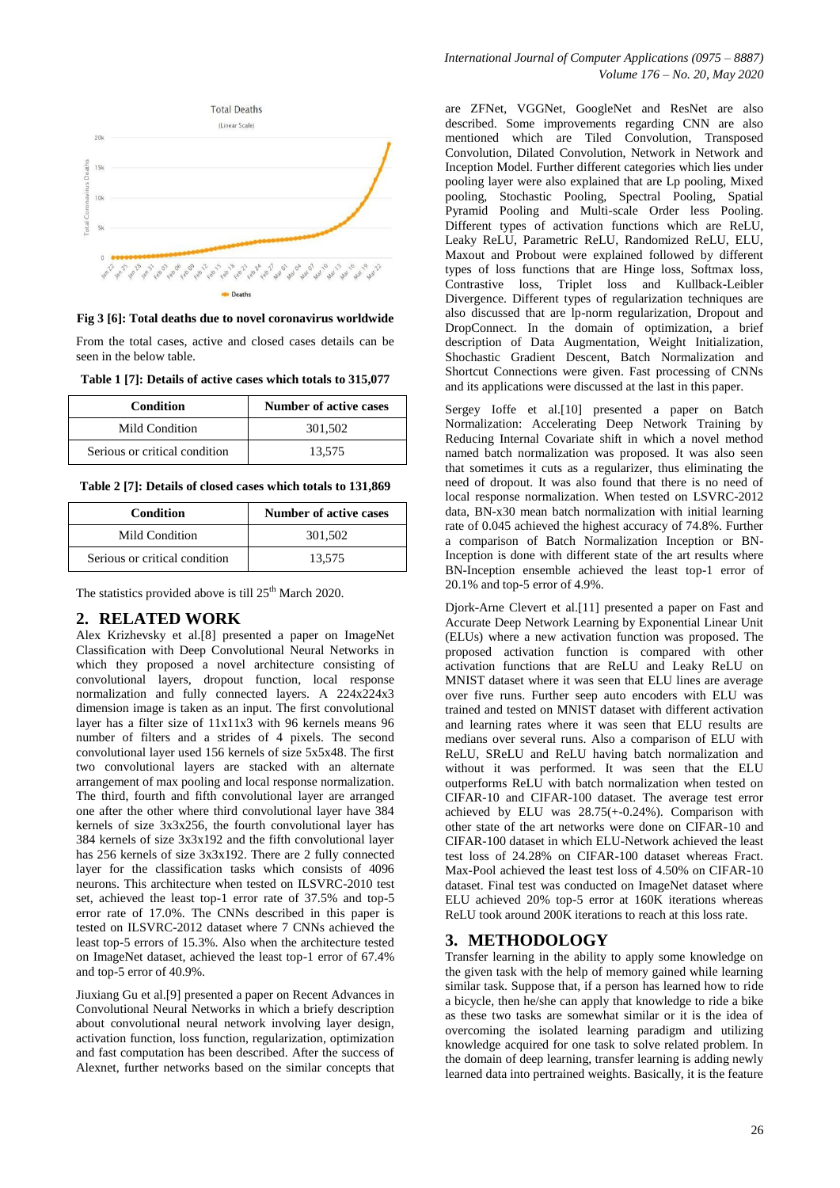

**Fig 3 [6]: Total deaths due to novel coronavirus worldwide**

From the total cases, active and closed cases details can be seen in the below table.

| Table 1 [7]: Details of active cases which totals to 315,077 |
|--------------------------------------------------------------|
|--------------------------------------------------------------|

| <b>Condition</b>              | Number of active cases |
|-------------------------------|------------------------|
| Mild Condition                | 301.502                |
| Serious or critical condition | 13.575                 |

**Table 2 [7]: Details of closed cases which totals to 131,869**

| <b>Condition</b>              | Number of active cases |
|-------------------------------|------------------------|
| Mild Condition                | 301,502                |
| Serious or critical condition | 13.575                 |

The statistics provided above is till 25<sup>th</sup> March 2020.

## **2. RELATED WORK**

Alex Krizhevsky et al.[8] presented a paper on ImageNet Classification with Deep Convolutional Neural Networks in which they proposed a novel architecture consisting of convolutional layers, dropout function, local response normalization and fully connected layers. A 224x224x3 dimension image is taken as an input. The first convolutional layer has a filter size of 11x11x3 with 96 kernels means 96 number of filters and a strides of 4 pixels. The second convolutional layer used 156 kernels of size 5x5x48. The first two convolutional layers are stacked with an alternate arrangement of max pooling and local response normalization. The third, fourth and fifth convolutional layer are arranged one after the other where third convolutional layer have 384 kernels of size 3x3x256, the fourth convolutional layer has 384 kernels of size 3x3x192 and the fifth convolutional layer has 256 kernels of size 3x3x192. There are 2 fully connected layer for the classification tasks which consists of 4096 neurons. This architecture when tested on ILSVRC-2010 test set, achieved the least top-1 error rate of 37.5% and top-5 error rate of 17.0%. The CNNs described in this paper is tested on ILSVRC-2012 dataset where 7 CNNs achieved the least top-5 errors of 15.3%. Also when the architecture tested on ImageNet dataset, achieved the least top-1 error of 67.4% and top-5 error of 40.9%.

Jiuxiang Gu et al.[9] presented a paper on Recent Advances in Convolutional Neural Networks in which a briefy description about convolutional neural network involving layer design, activation function, loss function, regularization, optimization and fast computation has been described. After the success of Alexnet, further networks based on the similar concepts that

are ZFNet, VGGNet, GoogleNet and ResNet are also described. Some improvements regarding CNN are also mentioned which are Tiled Convolution, Transposed Convolution, Dilated Convolution, Network in Network and Inception Model. Further different categories which lies under pooling layer were also explained that are Lp pooling, Mixed pooling, Stochastic Pooling, Spectral Pooling, Spatial Pyramid Pooling and Multi-scale Order less Pooling. Different types of activation functions which are ReLU, Leaky ReLU, Parametric ReLU, Randomized ReLU, ELU, Maxout and Probout were explained followed by different types of loss functions that are Hinge loss, Softmax loss, Contrastive loss, Triplet loss and Kullback-Leibler Divergence. Different types of regularization techniques are also discussed that are lp-norm regularization, Dropout and DropConnect. In the domain of optimization, a brief description of Data Augmentation, Weight Initialization, Shochastic Gradient Descent, Batch Normalization and Shortcut Connections were given. Fast processing of CNNs and its applications were discussed at the last in this paper.

Sergey Ioffe et al.[10] presented a paper on Batch Normalization: Accelerating Deep Network Training by Reducing Internal Covariate shift in which a novel method named batch normalization was proposed. It was also seen that sometimes it cuts as a regularizer, thus eliminating the need of dropout. It was also found that there is no need of local response normalization. When tested on LSVRC-2012 data, BN-x30 mean batch normalization with initial learning rate of 0.045 achieved the highest accuracy of 74.8%. Further a comparison of Batch Normalization Inception or BN-Inception is done with different state of the art results where BN-Inception ensemble achieved the least top-1 error of 20.1% and top-5 error of 4.9%.

Djork-Arne Clevert et al.[11] presented a paper on Fast and Accurate Deep Network Learning by Exponential Linear Unit (ELUs) where a new activation function was proposed. The proposed activation function is compared with other activation functions that are ReLU and Leaky ReLU on MNIST dataset where it was seen that ELU lines are average over five runs. Further seep auto encoders with ELU was trained and tested on MNIST dataset with different activation and learning rates where it was seen that ELU results are medians over several runs. Also a comparison of ELU with ReLU, SReLU and ReLU having batch normalization and without it was performed. It was seen that the ELU outperforms ReLU with batch normalization when tested on CIFAR-10 and CIFAR-100 dataset. The average test error achieved by ELU was 28.75(+-0.24%). Comparison with other state of the art networks were done on CIFAR-10 and CIFAR-100 dataset in which ELU-Network achieved the least test loss of 24.28% on CIFAR-100 dataset whereas Fract. Max-Pool achieved the least test loss of 4.50% on CIFAR-10 dataset. Final test was conducted on ImageNet dataset where ELU achieved 20% top-5 error at 160K iterations whereas ReLU took around 200K iterations to reach at this loss rate.

# **3. METHODOLOGY**

Transfer learning in the ability to apply some knowledge on the given task with the help of memory gained while learning similar task. Suppose that, if a person has learned how to ride a bicycle, then he/she can apply that knowledge to ride a bike as these two tasks are somewhat similar or it is the idea of overcoming the isolated learning paradigm and utilizing knowledge acquired for one task to solve related problem. In the domain of deep learning, transfer learning is adding newly learned data into pertrained weights. Basically, it is the feature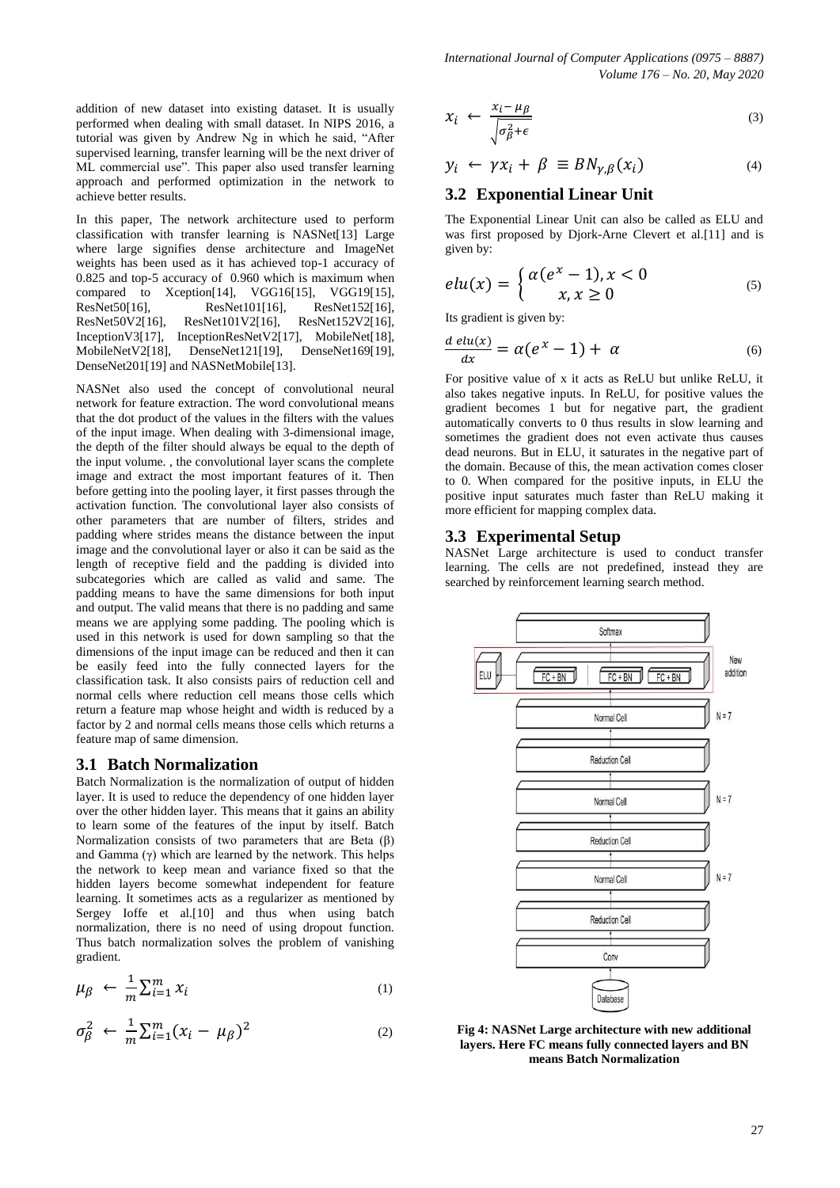addition of new dataset into existing dataset. It is usually performed when dealing with small dataset. In NIPS 2016, a tutorial was given by Andrew Ng in which he said, "After supervised learning, transfer learning will be the next driver of ML commercial use". This paper also used transfer learning approach and performed optimization in the network to achieve better results.

In this paper, The network architecture used to perform classification with transfer learning is NASNet[13] Large where large signifies dense architecture and ImageNet weights has been used as it has achieved top-1 accuracy of 0.825 and top-5 accuracy of 0.960 which is maximum when compared to Xception[14], VGG16[15], VGG19[15], ResNet50[16], ResNet101[16], ResNet152[16], ResNet50V2[16], ResNet101V2[16], ResNet152V2[16], InceptionV3[17], InceptionResNetV2[17], MobileNet[18], MobileNetV2[18], DenseNet121[19], DenseNet169[19], DenseNet201[19] and NASNetMobile[13].

NASNet also used the concept of convolutional neural network for feature extraction. The word convolutional means that the dot product of the values in the filters with the values of the input image. When dealing with 3-dimensional image, the depth of the filter should always be equal to the depth of the input volume. , the convolutional layer scans the complete image and extract the most important features of it. Then before getting into the pooling layer, it first passes through the activation function. The convolutional layer also consists of other parameters that are number of filters, strides and padding where strides means the distance between the input image and the convolutional layer or also it can be said as the length of receptive field and the padding is divided into subcategories which are called as valid and same. The padding means to have the same dimensions for both input and output. The valid means that there is no padding and same means we are applying some padding. The pooling which is used in this network is used for down sampling so that the dimensions of the input image can be reduced and then it can be easily feed into the fully connected layers for the classification task. It also consists pairs of reduction cell and normal cells where reduction cell means those cells which return a feature map whose height and width is reduced by a factor by 2 and normal cells means those cells which returns a feature map of same dimension.

#### **3.1 Batch Normalization**

Batch Normalization is the normalization of output of hidden layer. It is used to reduce the dependency of one hidden layer over the other hidden layer. This means that it gains an ability to learn some of the features of the input by itself. Batch Normalization consists of two parameters that are Beta (β) and Gamma  $(\gamma)$  which are learned by the network. This helps the network to keep mean and variance fixed so that the hidden layers become somewhat independent for feature learning. It sometimes acts as a regularizer as mentioned by Sergey Ioffe et al.[10] and thus when using batch normalization, there is no need of using dropout function. Thus batch normalization solves the problem of vanishing gradient.

$$
\mu_{\beta} \leftarrow \frac{1}{m} \sum_{i=1}^{m} x_i \tag{1}
$$

$$
\sigma_{\beta}^2 \leftarrow \frac{1}{m} \sum_{i=1}^m (x_i - \mu_{\beta})^2 \tag{2}
$$

$$
x_i \leftarrow \frac{x_i - \mu_\beta}{\sqrt{\sigma_\beta^2 + \epsilon}} \tag{3}
$$

$$
y_i \leftarrow \gamma x_i + \beta \equiv BN_{\gamma,\beta}(x_i) \tag{4}
$$

# **3.2 Exponential Linear Unit**

The Exponential Linear Unit can also be called as ELU and was first proposed by Djork-Arne Clevert et al.[11] and is given by:

$$
elu(x) = \begin{cases} \alpha(e^x - 1), x < 0\\ x, x \ge 0 \end{cases} \tag{5}
$$

Its gradient is given by:

$$
\frac{d \operatorname{elu}(x)}{dx} = \alpha (e^x - 1) + \alpha \tag{6}
$$

For positive value of x it acts as ReLU but unlike ReLU, it also takes negative inputs. In ReLU, for positive values the gradient becomes 1 but for negative part, the gradient automatically converts to 0 thus results in slow learning and sometimes the gradient does not even activate thus causes dead neurons. But in ELU, it saturates in the negative part of the domain. Because of this, the mean activation comes closer to 0. When compared for the positive inputs, in ELU the positive input saturates much faster than ReLU making it more efficient for mapping complex data.

## **3.3 Experimental Setup**

NASNet Large architecture is used to conduct transfer learning. The cells are not predefined, instead they are searched by reinforcement learning search method.



**Fig 4: NASNet Large architecture with new additional layers. Here FC means fully connected layers and BN means Batch Normalization**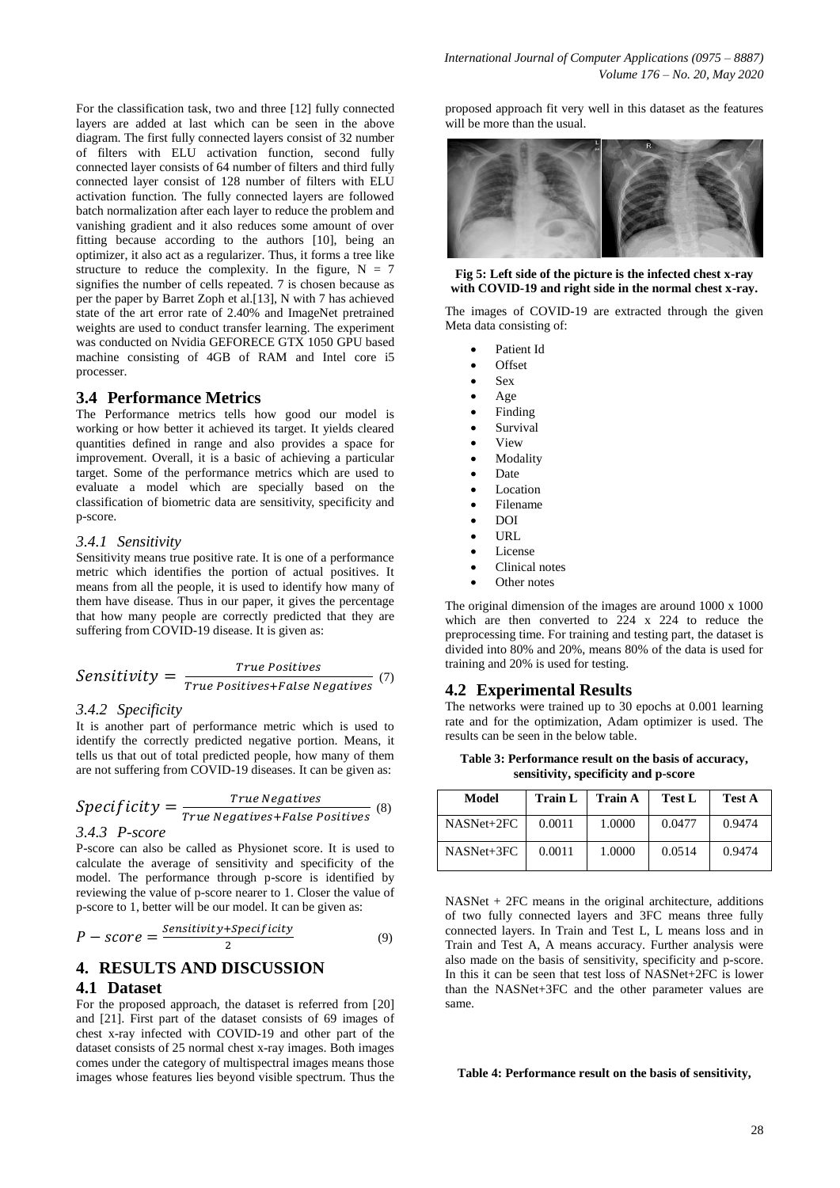For the classification task, two and three [12] fully connected layers are added at last which can be seen in the above diagram. The first fully connected layers consist of 32 number of filters with ELU activation function, second fully connected layer consists of 64 number of filters and third fully connected layer consist of 128 number of filters with ELU activation function. The fully connected layers are followed batch normalization after each layer to reduce the problem and vanishing gradient and it also reduces some amount of over fitting because according to the authors [10], being an optimizer, it also act as a regularizer. Thus, it forms a tree like structure to reduce the complexity. In the figure,  $N = 7$ signifies the number of cells repeated. 7 is chosen because as per the paper by Barret Zoph et al.[13], N with 7 has achieved state of the art error rate of 2.40% and ImageNet pretrained weights are used to conduct transfer learning. The experiment was conducted on Nvidia GEFORECE GTX 1050 GPU based machine consisting of 4GB of RAM and Intel core i5 processer.

## **3.4 Performance Metrics**

The Performance metrics tells how good our model is working or how better it achieved its target. It yields cleared quantities defined in range and also provides a space for improvement. Overall, it is a basic of achieving a particular target. Some of the performance metrics which are used to evaluate a model which are specially based on the classification of biometric data are sensitivity, specificity and p-score.

#### *3.4.1 Sensitivity*

Sensitivity means true positive rate. It is one of a performance metric which identifies the portion of actual positives. It means from all the people, it is used to identify how many of them have disease. Thus in our paper, it gives the percentage that how many people are correctly predicted that they are suffering from COVID-19 disease. It is given as:

$$
Sensitivity = \frac{True\ Positives}{True\ Positives + False\ Negatives} (7)
$$

#### *3.4.2 Specificity*

It is another part of performance metric which is used to identify the correctly predicted negative portion. Means, it tells us that out of total predicted people, how many of them are not suffering from COVID-19 diseases. It can be given as:

$$
Specificity = \frac{True\ Negatives}{True\ Negatives + False\ Positives}
$$
  
3.4.3 P-score

P-score can also be called as Physionet score. It is used to calculate the average of sensitivity and specificity of the model. The performance through p-score is identified by reviewing the value of p-score nearer to 1. Closer the value of

p-score to 1, better will be our model. It can be given as:

$$
P-score = \frac{Sensitivity+Specificity}{2}
$$
 (9)

# **4. RESULTS AND DISCUSSION**

## **4.1 Dataset**

For the proposed approach, the dataset is referred from [20] and [21]. First part of the dataset consists of 69 images of chest x-ray infected with COVID-19 and other part of the dataset consists of 25 normal chest x-ray images. Both images comes under the category of multispectral images means those images whose features lies beyond visible spectrum. Thus the

proposed approach fit very well in this dataset as the features will be more than the usual.



#### **Fig 5: Left side of the picture is the infected chest x-ray with COVID-19 and right side in the normal chest x-ray.**

The images of COVID-19 are extracted through the given Meta data consisting of:

- Patient Id
- Offset
- Sex
- Age
- Finding
- Survival
- View
- Modality
- Date
- Location
- Filename
- DOI
- URL
- License
- Clinical notes
- Other notes

The original dimension of the images are around 1000 x 1000 which are then converted to 224 x 224 to reduce the preprocessing time. For training and testing part, the dataset is divided into 80% and 20%, means 80% of the data is used for training and 20% is used for testing.

#### **4.2 Experimental Results**

The networks were trained up to 30 epochs at 0.001 learning rate and for the optimization, Adam optimizer is used. The results can be seen in the below table.

**Table 3: Performance result on the basis of accuracy, sensitivity, specificity and p-score**

| Model      | <b>Train L</b> | Train A | <b>Test L</b> | <b>Test A</b> |
|------------|----------------|---------|---------------|---------------|
| NASNet+2FC | 0.0011         | 1.0000  | 0.0477        | 0.9474        |
| NASNet+3FC | 0.0011         | 1.0000  | 0.0514        | 0.9474        |

NASNet + 2FC means in the original architecture, additions of two fully connected layers and 3FC means three fully connected layers. In Train and Test L, L means loss and in Train and Test A, A means accuracy. Further analysis were also made on the basis of sensitivity, specificity and p-score. In this it can be seen that test loss of NASNet+2FC is lower than the NASNet+3FC and the other parameter values are same.

#### **Table 4: Performance result on the basis of sensitivity,**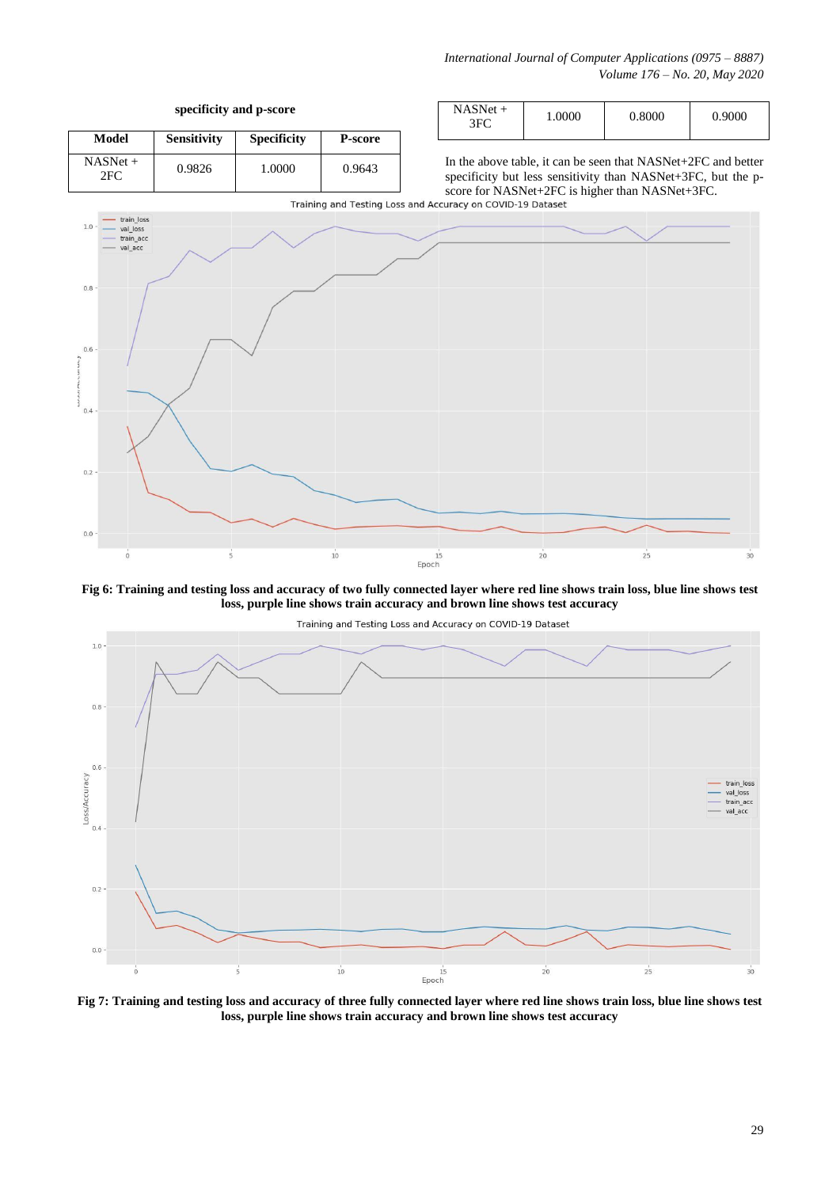*International Journal of Computer Applications (0975 – 8887) Volume 176 – No. 20, May 2020*

**specificity and p-score**

| Model             | <b>Sensitivity</b> | <b>Specificity</b> | P-score |
|-------------------|--------------------|--------------------|---------|
| $NASNet +$<br>2FC | 0.9826             | 1.0000             | 0.9643  |

In the above table, it can be seen that NASNet+2FC and better specificity but less sensitivity than NASNet+3FC, but the pscore for NASNet+2FC is higher than NASNet+3FC.<br>Training and Testing Loss and Accuracy on COVID-19 Dataset





**Fig 6: Training and testing loss and accuracy of two fully connected layer where red line shows train loss, blue line shows test loss, purple line shows train accuracy and brown line shows test accuracy**



**Fig 7: Training and testing loss and accuracy of three fully connected layer where red line shows train loss, blue line shows test loss, purple line shows train accuracy and brown line shows test accuracy**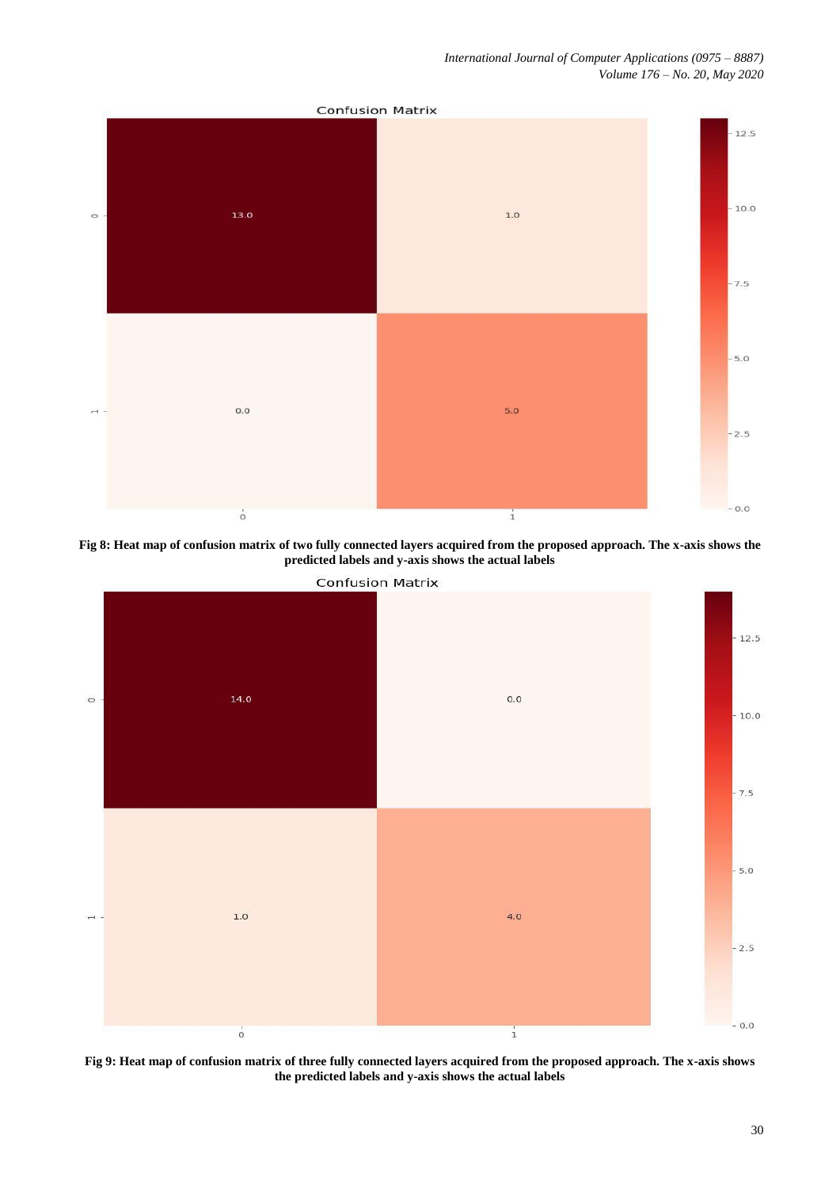*International Journal of Computer Applications (0975 – 8887) Volume 176 – No. 20, May 2020*



**Fig 8: Heat map of confusion matrix of two fully connected layers acquired from the proposed approach. The x-axis shows the predicted labels and y-axis shows the actual labels**



**Fig 9: Heat map of confusion matrix of three fully connected layers acquired from the proposed approach. The x-axis shows the predicted labels and y-axis shows the actual labels**